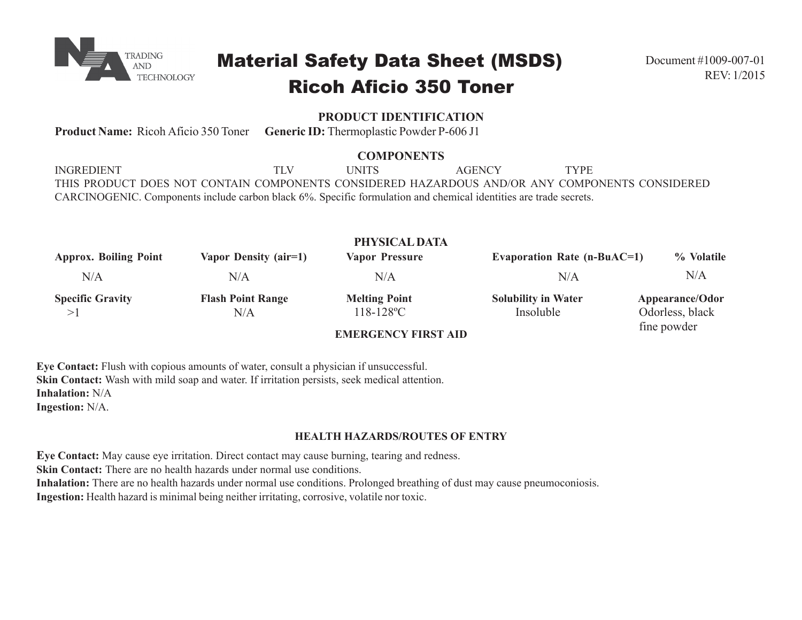

# Material Safety Data Sheet (MSDS) Ricoh Aficio 350 Toner

# **PRODUCT IDENTIFICATION**

**Product Name:** Ricoh Aficio 350 Toner **Generic ID:** Thermoplastic Powder P-606 J1

## **COMPONENTS**

INGREDIENT TLV UNITS AGENCY TYPE THIS PRODUCT DOES NOT CONTAIN COMPONENTS CONSIDERED HAZARDOUS AND/OR ANY COMPONENTS CONSIDERED CARCINOGENIC. Components include carbon black 6%. Specific formulation and chemical identities are trade secrets.

| PHYSICAL DATA                |                          |                            |                                    |                 |  |
|------------------------------|--------------------------|----------------------------|------------------------------------|-----------------|--|
| <b>Approx. Boiling Point</b> | Vapor Density (air=1)    | <b>Vapor Pressure</b>      | <b>Evaporation Rate (n-BuAC=1)</b> | % Volatile      |  |
| $\rm N/A$                    | N/A                      | N/A                        | N/A                                | $\rm N/A$       |  |
| <b>Specific Gravity</b>      | <b>Flash Point Range</b> | <b>Melting Point</b>       | <b>Solubility in Water</b>         | Appearance/Odor |  |
| >1                           | N/A                      | $118 - 128$ °C             | Insoluble                          | Odorless, black |  |
|                              |                          | <b>EMERCEMOV EIROR AIR</b> |                                    | fine powder     |  |

## **EMERGENCY FIRST AID**

**Eye Contact:** Flush with copious amounts of water, consult a physician if unsuccessful. **Skin Contact:** Wash with mild soap and water. If irritation persists, seek medical attention. **Inhalation:** N/A

**Ingestion:** N/A.

## **HEALTH HAZARDS/ROUTES OF ENTRY**

**Eye Contact:** May cause eye irritation. Direct contact may cause burning, tearing and redness. **Skin Contact:** There are no health hazards under normal use conditions. **Inhalation:** There are no health hazards under normal use conditions. Prolonged breathing of dust may cause pneumoconiosis. **Ingestion:** Health hazard is minimal being neither irritating, corrosive, volatile nor toxic.